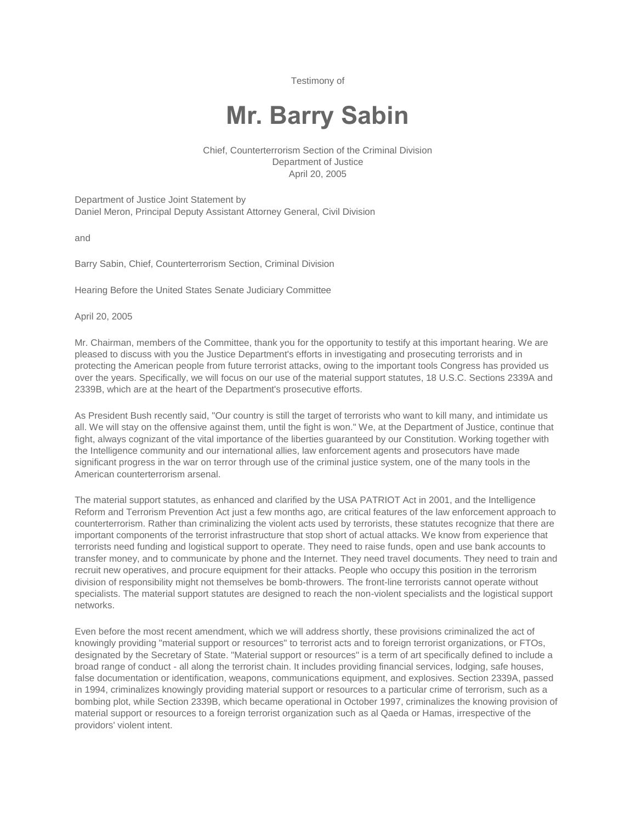Testimony of

# **Mr. Barry Sabin**

Chief, Counterterrorism Section of the Criminal Division Department of Justice April 20, 2005

Department of Justice Joint Statement by Daniel Meron, Principal Deputy Assistant Attorney General, Civil Division

and

Barry Sabin, Chief, Counterterrorism Section, Criminal Division

Hearing Before the United States Senate Judiciary Committee

April 20, 2005

Mr. Chairman, members of the Committee, thank you for the opportunity to testify at this important hearing. We are pleased to discuss with you the Justice Department's efforts in investigating and prosecuting terrorists and in protecting the American people from future terrorist attacks, owing to the important tools Congress has provided us over the years. Specifically, we will focus on our use of the material support statutes, 18 U.S.C. Sections 2339A and 2339B, which are at the heart of the Department's prosecutive efforts.

As President Bush recently said, "Our country is still the target of terrorists who want to kill many, and intimidate us all. We will stay on the offensive against them, until the fight is won." We, at the Department of Justice, continue that fight, always cognizant of the vital importance of the liberties guaranteed by our Constitution. Working together with the Intelligence community and our international allies, law enforcement agents and prosecutors have made significant progress in the war on terror through use of the criminal justice system, one of the many tools in the American counterterrorism arsenal.

The material support statutes, as enhanced and clarified by the USA PATRIOT Act in 2001, and the Intelligence Reform and Terrorism Prevention Act just a few months ago, are critical features of the law enforcement approach to counterterrorism. Rather than criminalizing the violent acts used by terrorists, these statutes recognize that there are important components of the terrorist infrastructure that stop short of actual attacks. We know from experience that terrorists need funding and logistical support to operate. They need to raise funds, open and use bank accounts to transfer money, and to communicate by phone and the Internet. They need travel documents. They need to train and recruit new operatives, and procure equipment for their attacks. People who occupy this position in the terrorism division of responsibility might not themselves be bomb-throwers. The front-line terrorists cannot operate without specialists. The material support statutes are designed to reach the non-violent specialists and the logistical support networks.

Even before the most recent amendment, which we will address shortly, these provisions criminalized the act of knowingly providing "material support or resources" to terrorist acts and to foreign terrorist organizations, or FTOs, designated by the Secretary of State. "Material support or resources" is a term of art specifically defined to include a broad range of conduct - all along the terrorist chain. It includes providing financial services, lodging, safe houses, false documentation or identification, weapons, communications equipment, and explosives. Section 2339A, passed in 1994, criminalizes knowingly providing material support or resources to a particular crime of terrorism, such as a bombing plot, while Section 2339B, which became operational in October 1997, criminalizes the knowing provision of material support or resources to a foreign terrorist organization such as al Qaeda or Hamas, irrespective of the providors' violent intent.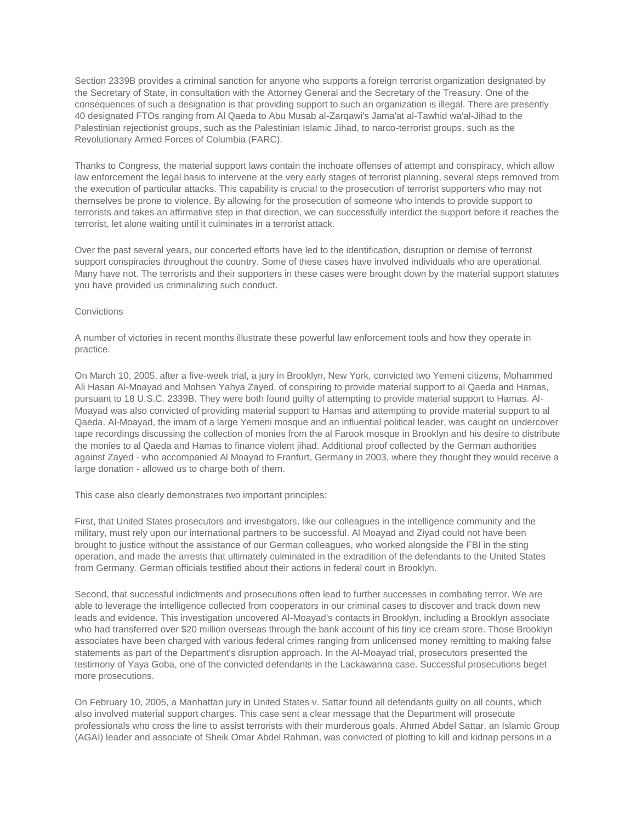Section 2339B provides a criminal sanction for anyone who supports a foreign terrorist organization designated by the Secretary of State, in consultation with the Attorney General and the Secretary of the Treasury. One of the consequences of such a designation is that providing support to such an organization is illegal. There are presently 40 designated FTOs ranging from Al Qaeda to Abu Musab al-Zarqawi's Jama'at al-Tawhid wa'al-Jihad to the Palestinian rejectionist groups, such as the Palestinian Islamic Jihad, to narco-terrorist groups, such as the Revolutionary Armed Forces of Columbia (FARC).

Thanks to Congress, the material support laws contain the inchoate offenses of attempt and conspiracy, which allow law enforcement the legal basis to intervene at the very early stages of terrorist planning, several steps removed from the execution of particular attacks. This capability is crucial to the prosecution of terrorist supporters who may not themselves be prone to violence. By allowing for the prosecution of someone who intends to provide support to terrorists and takes an affirmative step in that direction, we can successfully interdict the support before it reaches the terrorist, let alone waiting until it culminates in a terrorist attack.

Over the past several years, our concerted efforts have led to the identification, disruption or demise of terrorist support conspiracies throughout the country. Some of these cases have involved individuals who are operational. Many have not. The terrorists and their supporters in these cases were brought down by the material support statutes you have provided us criminalizing such conduct.

## Convictions

A number of victories in recent months illustrate these powerful law enforcement tools and how they operate in practice.

On March 10, 2005, after a five-week trial, a jury in Brooklyn, New York, convicted two Yemeni citizens, Mohammed Ali Hasan Al-Moayad and Mohsen Yahya Zayed, of conspiring to provide material support to al Qaeda and Hamas, pursuant to 18 U.S.C. 2339B. They were both found guilty of attempting to provide material support to Hamas. Al-Moayad was also convicted of providing material support to Hamas and attempting to provide material support to al Qaeda. Al-Moayad, the imam of a large Yemeni mosque and an influential political leader, was caught on undercover tape recordings discussing the collection of monies from the al Farook mosque in Brooklyn and his desire to distribute the monies to al Qaeda and Hamas to finance violent jihad. Additional proof collected by the German authorities against Zayed - who accompanied Al Moayad to Franfurt, Germany in 2003, where they thought they would receive a large donation - allowed us to charge both of them.

This case also clearly demonstrates two important principles:

First, that United States prosecutors and investigators, like our colleagues in the intelligence community and the military, must rely upon our international partners to be successful. Al Moayad and Ziyad could not have been brought to justice without the assistance of our German colleagues, who worked alongside the FBI in the sting operation, and made the arrests that ultimately culminated in the extradition of the defendants to the United States from Germany. German officials testified about their actions in federal court in Brooklyn.

Second, that successful indictments and prosecutions often lead to further successes in combating terror. We are able to leverage the intelligence collected from cooperators in our criminal cases to discover and track down new leads and evidence. This investigation uncovered Al-Moayad's contacts in Brooklyn, including a Brooklyn associate who had transferred over \$20 million overseas through the bank account of his tiny ice cream store. Those Brooklyn associates have been charged with various federal crimes ranging from unlicensed money remitting to making false statements as part of the Department's disruption approach. In the Al-Moayad trial, prosecutors presented the testimony of Yaya Goba, one of the convicted defendants in the Lackawanna case. Successful prosecutions beget more prosecutions.

On February 10, 2005, a Manhattan jury in United States v. Sattar found all defendants guilty on all counts, which also involved material support charges. This case sent a clear message that the Department will prosecute professionals who cross the line to assist terrorists with their murderous goals. Ahmed Abdel Sattar, an Islamic Group (AGAI) leader and associate of Sheik Omar Abdel Rahman, was convicted of plotting to kill and kidnap persons in a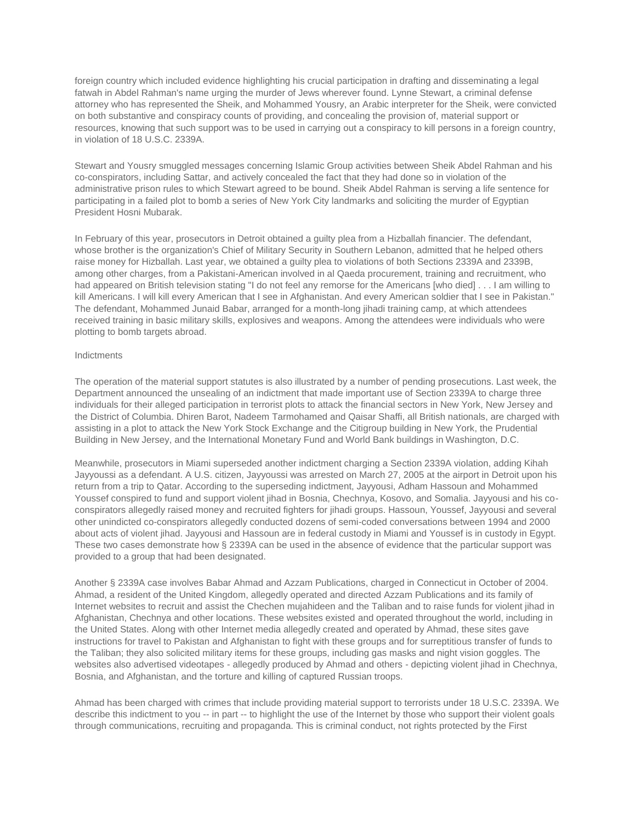foreign country which included evidence highlighting his crucial participation in drafting and disseminating a legal fatwah in Abdel Rahman's name urging the murder of Jews wherever found. Lynne Stewart, a criminal defense attorney who has represented the Sheik, and Mohammed Yousry, an Arabic interpreter for the Sheik, were convicted on both substantive and conspiracy counts of providing, and concealing the provision of, material support or resources, knowing that such support was to be used in carrying out a conspiracy to kill persons in a foreign country, in violation of 18 U.S.C. 2339A.

Stewart and Yousry smuggled messages concerning Islamic Group activities between Sheik Abdel Rahman and his co-conspirators, including Sattar, and actively concealed the fact that they had done so in violation of the administrative prison rules to which Stewart agreed to be bound. Sheik Abdel Rahman is serving a life sentence for participating in a failed plot to bomb a series of New York City landmarks and soliciting the murder of Egyptian President Hosni Mubarak.

In February of this year, prosecutors in Detroit obtained a guilty plea from a Hizballah financier. The defendant, whose brother is the organization's Chief of Military Security in Southern Lebanon, admitted that he helped others raise money for Hizballah. Last year, we obtained a guilty plea to violations of both Sections 2339A and 2339B, among other charges, from a Pakistani-American involved in al Qaeda procurement, training and recruitment, who had appeared on British television stating "I do not feel any remorse for the Americans [who died] . . . I am willing to kill Americans. I will kill every American that I see in Afghanistan. And every American soldier that I see in Pakistan." The defendant, Mohammed Junaid Babar, arranged for a month-long jihadi training camp, at which attendees received training in basic military skills, explosives and weapons. Among the attendees were individuals who were plotting to bomb targets abroad.

#### Indictments

The operation of the material support statutes is also illustrated by a number of pending prosecutions. Last week, the Department announced the unsealing of an indictment that made important use of Section 2339A to charge three individuals for their alleged participation in terrorist plots to attack the financial sectors in New York, New Jersey and the District of Columbia. Dhiren Barot, Nadeem Tarmohamed and Qaisar Shaffi, all British nationals, are charged with assisting in a plot to attack the New York Stock Exchange and the Citigroup building in New York, the Prudential Building in New Jersey, and the International Monetary Fund and World Bank buildings in Washington, D.C.

Meanwhile, prosecutors in Miami superseded another indictment charging a Section 2339A violation, adding Kihah Jayyoussi as a defendant. A U.S. citizen, Jayyoussi was arrested on March 27, 2005 at the airport in Detroit upon his return from a trip to Qatar. According to the superseding indictment, Jayyousi, Adham Hassoun and Mohammed Youssef conspired to fund and support violent jihad in Bosnia, Chechnya, Kosovo, and Somalia. Jayyousi and his coconspirators allegedly raised money and recruited fighters for jihadi groups. Hassoun, Youssef, Jayyousi and several other unindicted co-conspirators allegedly conducted dozens of semi-coded conversations between 1994 and 2000 about acts of violent jihad. Jayyousi and Hassoun are in federal custody in Miami and Youssef is in custody in Egypt. These two cases demonstrate how § 2339A can be used in the absence of evidence that the particular support was provided to a group that had been designated.

Another § 2339A case involves Babar Ahmad and Azzam Publications, charged in Connecticut in October of 2004. Ahmad, a resident of the United Kingdom, allegedly operated and directed Azzam Publications and its family of Internet websites to recruit and assist the Chechen mujahideen and the Taliban and to raise funds for violent jihad in Afghanistan, Chechnya and other locations. These websites existed and operated throughout the world, including in the United States. Along with other Internet media allegedly created and operated by Ahmad, these sites gave instructions for travel to Pakistan and Afghanistan to fight with these groups and for surreptitious transfer of funds to the Taliban; they also solicited military items for these groups, including gas masks and night vision goggles. The websites also advertised videotapes - allegedly produced by Ahmad and others - depicting violent jihad in Chechnya, Bosnia, and Afghanistan, and the torture and killing of captured Russian troops.

Ahmad has been charged with crimes that include providing material support to terrorists under 18 U.S.C. 2339A. We describe this indictment to you -- in part -- to highlight the use of the Internet by those who support their violent goals through communications, recruiting and propaganda. This is criminal conduct, not rights protected by the First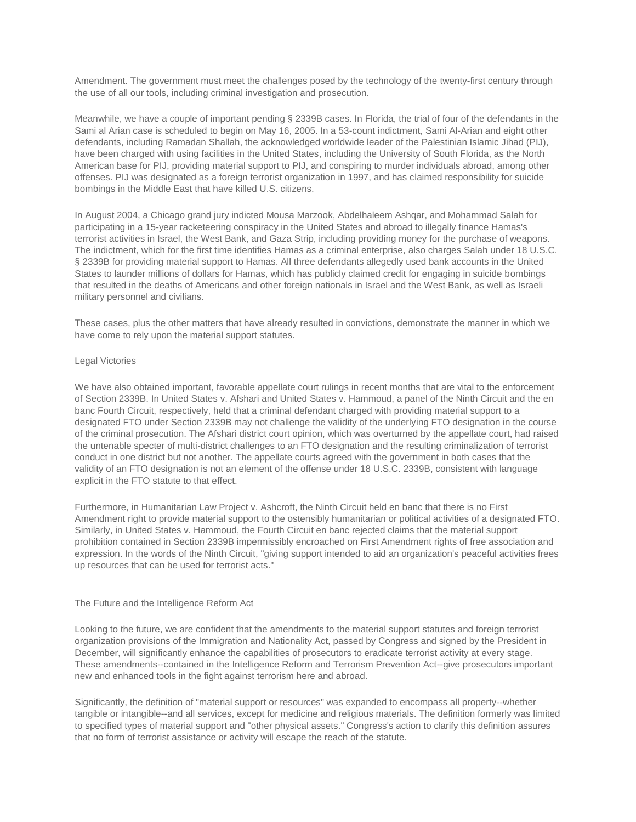Amendment. The government must meet the challenges posed by the technology of the twenty-first century through the use of all our tools, including criminal investigation and prosecution.

Meanwhile, we have a couple of important pending § 2339B cases. In Florida, the trial of four of the defendants in the Sami al Arian case is scheduled to begin on May 16, 2005. In a 53-count indictment, Sami Al-Arian and eight other defendants, including Ramadan Shallah, the acknowledged worldwide leader of the Palestinian Islamic Jihad (PIJ), have been charged with using facilities in the United States, including the University of South Florida, as the North American base for PIJ, providing material support to PIJ, and conspiring to murder individuals abroad, among other offenses. PIJ was designated as a foreign terrorist organization in 1997, and has claimed responsibility for suicide bombings in the Middle East that have killed U.S. citizens.

In August 2004, a Chicago grand jury indicted Mousa Marzook, Abdelhaleem Ashqar, and Mohammad Salah for participating in a 15-year racketeering conspiracy in the United States and abroad to illegally finance Hamas's terrorist activities in Israel, the West Bank, and Gaza Strip, including providing money for the purchase of weapons. The indictment, which for the first time identifies Hamas as a criminal enterprise, also charges Salah under 18 U.S.C. § 2339B for providing material support to Hamas. All three defendants allegedly used bank accounts in the United States to launder millions of dollars for Hamas, which has publicly claimed credit for engaging in suicide bombings that resulted in the deaths of Americans and other foreign nationals in Israel and the West Bank, as well as Israeli military personnel and civilians.

These cases, plus the other matters that have already resulted in convictions, demonstrate the manner in which we have come to rely upon the material support statutes.

#### Legal Victories

We have also obtained important, favorable appellate court rulings in recent months that are vital to the enforcement of Section 2339B. In United States v. Afshari and United States v. Hammoud, a panel of the Ninth Circuit and the en banc Fourth Circuit, respectively, held that a criminal defendant charged with providing material support to a designated FTO under Section 2339B may not challenge the validity of the underlying FTO designation in the course of the criminal prosecution. The Afshari district court opinion, which was overturned by the appellate court, had raised the untenable specter of multi-district challenges to an FTO designation and the resulting criminalization of terrorist conduct in one district but not another. The appellate courts agreed with the government in both cases that the validity of an FTO designation is not an element of the offense under 18 U.S.C. 2339B, consistent with language explicit in the FTO statute to that effect.

Furthermore, in Humanitarian Law Project v. Ashcroft, the Ninth Circuit held en banc that there is no First Amendment right to provide material support to the ostensibly humanitarian or political activities of a designated FTO. Similarly, in United States v. Hammoud, the Fourth Circuit en banc rejected claims that the material support prohibition contained in Section 2339B impermissibly encroached on First Amendment rights of free association and expression. In the words of the Ninth Circuit, "giving support intended to aid an organization's peaceful activities frees up resources that can be used for terrorist acts."

#### The Future and the Intelligence Reform Act

Looking to the future, we are confident that the amendments to the material support statutes and foreign terrorist organization provisions of the Immigration and Nationality Act, passed by Congress and signed by the President in December, will significantly enhance the capabilities of prosecutors to eradicate terrorist activity at every stage. These amendments--contained in the Intelligence Reform and Terrorism Prevention Act--give prosecutors important new and enhanced tools in the fight against terrorism here and abroad.

Significantly, the definition of "material support or resources" was expanded to encompass all property--whether tangible or intangible--and all services, except for medicine and religious materials. The definition formerly was limited to specified types of material support and "other physical assets." Congress's action to clarify this definition assures that no form of terrorist assistance or activity will escape the reach of the statute.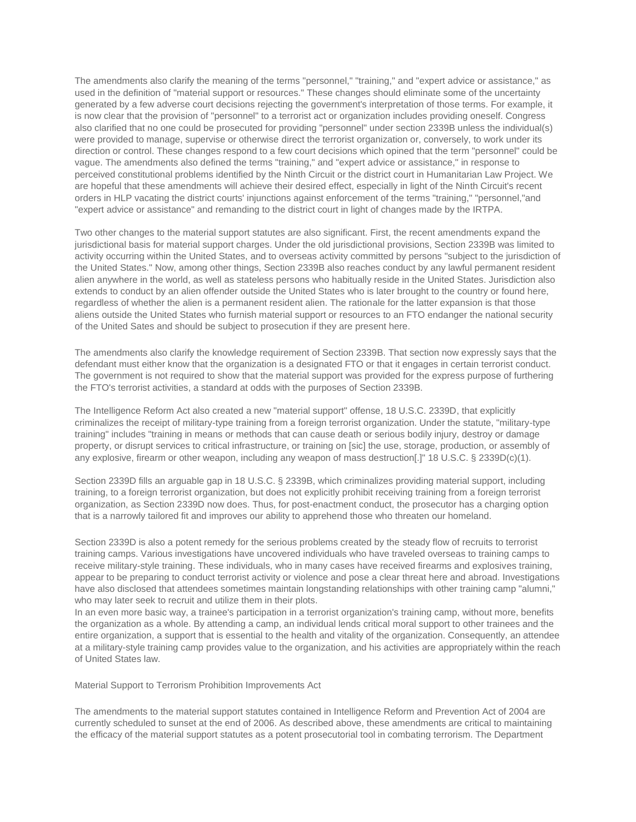The amendments also clarify the meaning of the terms "personnel," "training," and "expert advice or assistance," as used in the definition of "material support or resources." These changes should eliminate some of the uncertainty generated by a few adverse court decisions rejecting the government's interpretation of those terms. For example, it is now clear that the provision of "personnel" to a terrorist act or organization includes providing oneself. Congress also clarified that no one could be prosecuted for providing "personnel" under section 2339B unless the individual(s) were provided to manage, supervise or otherwise direct the terrorist organization or, conversely, to work under its direction or control. These changes respond to a few court decisions which opined that the term "personnel" could be vague. The amendments also defined the terms "training," and "expert advice or assistance," in response to perceived constitutional problems identified by the Ninth Circuit or the district court in Humanitarian Law Project. We are hopeful that these amendments will achieve their desired effect, especially in light of the Ninth Circuit's recent orders in HLP vacating the district courts' injunctions against enforcement of the terms "training," "personnel,"and "expert advice or assistance" and remanding to the district court in light of changes made by the IRTPA.

Two other changes to the material support statutes are also significant. First, the recent amendments expand the jurisdictional basis for material support charges. Under the old jurisdictional provisions, Section 2339B was limited to activity occurring within the United States, and to overseas activity committed by persons "subject to the jurisdiction of the United States." Now, among other things, Section 2339B also reaches conduct by any lawful permanent resident alien anywhere in the world, as well as stateless persons who habitually reside in the United States. Jurisdiction also extends to conduct by an alien offender outside the United States who is later brought to the country or found here, regardless of whether the alien is a permanent resident alien. The rationale for the latter expansion is that those aliens outside the United States who furnish material support or resources to an FTO endanger the national security of the United Sates and should be subject to prosecution if they are present here.

The amendments also clarify the knowledge requirement of Section 2339B. That section now expressly says that the defendant must either know that the organization is a designated FTO or that it engages in certain terrorist conduct. The government is not required to show that the material support was provided for the express purpose of furthering the FTO's terrorist activities, a standard at odds with the purposes of Section 2339B.

The Intelligence Reform Act also created a new "material support" offense, 18 U.S.C. 2339D, that explicitly criminalizes the receipt of military-type training from a foreign terrorist organization. Under the statute, "military-type training" includes "training in means or methods that can cause death or serious bodily injury, destroy or damage property, or disrupt services to critical infrastructure, or training on [sic] the use, storage, production, or assembly of any explosive, firearm or other weapon, including any weapon of mass destruction[.]" 18 U.S.C. § 2339D(c)(1).

Section 2339D fills an arguable gap in 18 U.S.C. § 2339B, which criminalizes providing material support, including training, to a foreign terrorist organization, but does not explicitly prohibit receiving training from a foreign terrorist organization, as Section 2339D now does. Thus, for post-enactment conduct, the prosecutor has a charging option that is a narrowly tailored fit and improves our ability to apprehend those who threaten our homeland.

Section 2339D is also a potent remedy for the serious problems created by the steady flow of recruits to terrorist training camps. Various investigations have uncovered individuals who have traveled overseas to training camps to receive military-style training. These individuals, who in many cases have received firearms and explosives training, appear to be preparing to conduct terrorist activity or violence and pose a clear threat here and abroad. Investigations have also disclosed that attendees sometimes maintain longstanding relationships with other training camp "alumni," who may later seek to recruit and utilize them in their plots.

In an even more basic way, a trainee's participation in a terrorist organization's training camp, without more, benefits the organization as a whole. By attending a camp, an individual lends critical moral support to other trainees and the entire organization, a support that is essential to the health and vitality of the organization. Consequently, an attendee at a military-style training camp provides value to the organization, and his activities are appropriately within the reach of United States law.

Material Support to Terrorism Prohibition Improvements Act

The amendments to the material support statutes contained in Intelligence Reform and Prevention Act of 2004 are currently scheduled to sunset at the end of 2006. As described above, these amendments are critical to maintaining the efficacy of the material support statutes as a potent prosecutorial tool in combating terrorism. The Department